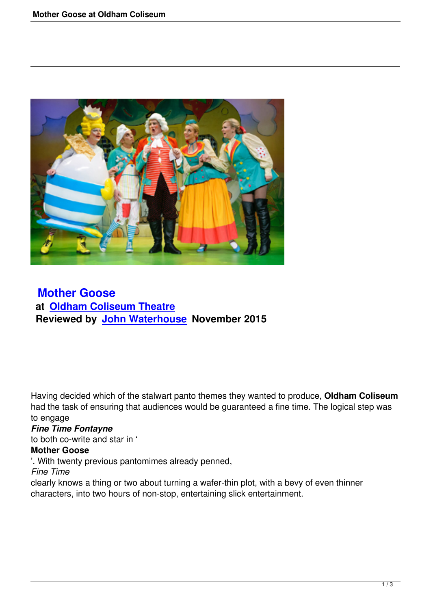

 **Mother Goose at Oldham Coliseum Theatre [Reviewed by Joh](mother-goose-at-oldham-coliseum.html)n Waterhouse November 2015**

Having decided which of the stalwart panto themes they wanted to produce, **Oldham Coliseum** had the task of ensuring that audiences would be guaranteed a fine time. The logical step was to engage

### *Fine Time Fontayne*

to both co-write and star in '

### **Mother Goose**

'. With twenty previous pantomimes already penned,

*Fine Time*

clearly knows a thing or two about turning a wafer-thin plot, with a bevy of even thinner characters, into two hours of non-stop, entertaining slick entertainment.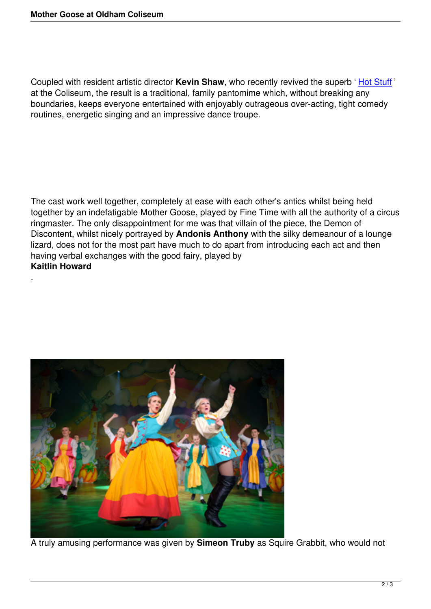Coupled with resident artistic director **Kevin Shaw**, who recently revived the superb ' Hot Stuff ' at the Coliseum, the result is a traditional, family pantomime which, without breaking any boundaries, keeps everyone entertained with enjoyably outrageous over-acting, tight comedy routines, energetic singing and an impressive dance troupe.

The cast work well together, completely at ease with each other's antics whilst being held together by an indefatigable Mother Goose, played by Fine Time with all the authority of a circus ringmaster. The only disappointment for me was that villain of the piece, the Demon of Discontent, whilst nicely portrayed by **Andonis Anthony** with the silky demeanour of a lounge lizard, does not for the most part have much to do apart from introducing each act and then having verbal exchanges with the good fairy, played by **Kaitlin Howard**



.

A truly amusing performance was given by **Simeon Truby** as Squire Grabbit, who would not